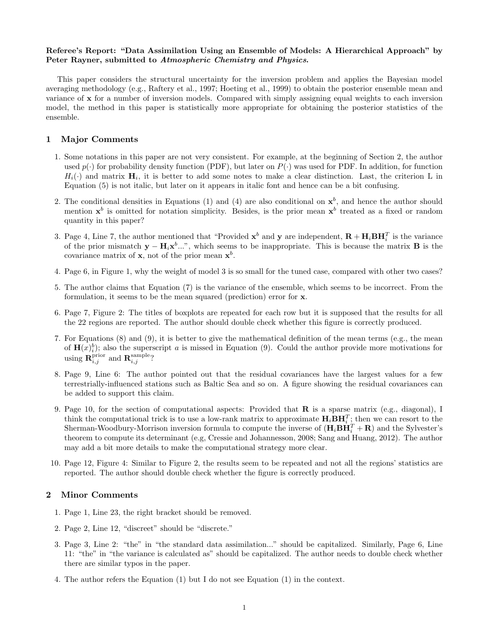## Referee's Report: "Data Assimilation Using an Ensemble of Models: A Hierarchical Approach" by Peter Rayner, submitted to Atmospheric Chemistry and Physics.

This paper considers the structural uncertainty for the inversion problem and applies the Bayesian model averaging methodology (e.g., Raftery et al., 1997; Hoeting et al., 1999) to obtain the posterior ensemble mean and variance of x for a number of inversion models. Compared with simply assigning equal weights to each inversion model, the method in this paper is statistically more appropriate for obtaining the posterior statistics of the ensemble.

## 1 Major Comments

- 1. Some notations in this paper are not very consistent. For example, at the beginning of Section 2, the author used  $p(\cdot)$  for probability density function (PDF), but later on  $P(\cdot)$  was used for PDF. In addition, for function  $H_i(\cdot)$  and matrix  $\mathbf{H}_i$ , it is better to add some notes to make a clear distinction. Last, the criterion L in Equation (5) is not italic, but later on it appears in italic font and hence can be a bit confusing.
- 2. The conditional densities in Equations (1) and (4) are also conditional on  $x^b$ , and hence the author should mention  $x^b$  is omitted for notation simplicity. Besides, is the prior mean  $x^b$  treated as a fixed or random quantity in this paper?
- 3. Page 4, Line 7, the author mentioned that "Provided  $\mathbf{x}^b$  and  $\mathbf{y}$  are independent,  $\mathbf{R} + \mathbf{H}_i \mathbf{B} \mathbf{H}_i^T$  is the variance of the prior mismatch  $y - H_i x^b ...$ ", which seems to be inappropriate. This is because the matrix **B** is the covariance matrix of **x**, not of the prior mean  $x^b$ .
- 4. Page 6, in Figure 1, why the weight of model 3 is so small for the tuned case, compared with other two cases?
- 5. The author claims that Equation (7) is the variance of the ensemble, which seems to be incorrect. From the formulation, it seems to be the mean squared (prediction) error for x.
- 6. Page 7, Figure 2: The titles of boxplots are repeated for each row but it is supposed that the results for all the 22 regions are reported. The author should double check whether this figure is correctly produced.
- 7. For Equations (8) and (9), it is better to give the mathematical definition of the mean terms (e.g., the mean of  $\mathbf{H}(x)_{i}^{b}$ ; also the superscript a is missed in Equation (9). Could the author provide more motivations for using  $\mathbf{R}_{i,j}^{\text{prior}}$  and  $\mathbf{R}_{i,j}^{\text{sample}}$ ?
- 8. Page 9, Line 6: The author pointed out that the residual covariances have the largest values for a few terrestrially-influenced stations such as Baltic Sea and so on. A figure showing the residual covariances can be added to support this claim.
- 9. Page 10, for the section of computational aspects: Provided that  $\bf{R}$  is a sparse matrix (e.g., diagonal), I think the computational trick is to use a low-rank matrix to approximate  $\mathbf{H}_i \mathbf{B} \mathbf{H}_i^T$ ; then we can resort to the Sherman-Woodbury-Morrison inversion formula to compute the inverse of  $(\mathbf{H}_i \mathbf{B} \mathbf{H}_i^T + \mathbf{R})$  and the Sylvester's theorem to compute its determinant (e.g, Cressie and Johannesson, 2008; Sang and Huang, 2012). The author may add a bit more details to make the computational strategy more clear.
- 10. Page 12, Figure 4: Similar to Figure 2, the results seem to be repeated and not all the regions' statistics are reported. The author should double check whether the figure is correctly produced.

## 2 Minor Comments

- 1. Page 1, Line 23, the right bracket should be removed.
- 2. Page 2, Line 12, "discreet" should be "discrete."
- 3. Page 3, Line 2: "the" in "the standard data assimilation..." should be capitalized. Similarly, Page 6, Line 11: "the" in "the variance is calculated as" should be capitalized. The author needs to double check whether there are similar typos in the paper.
- 4. The author refers the Equation (1) but I do not see Equation (1) in the context.